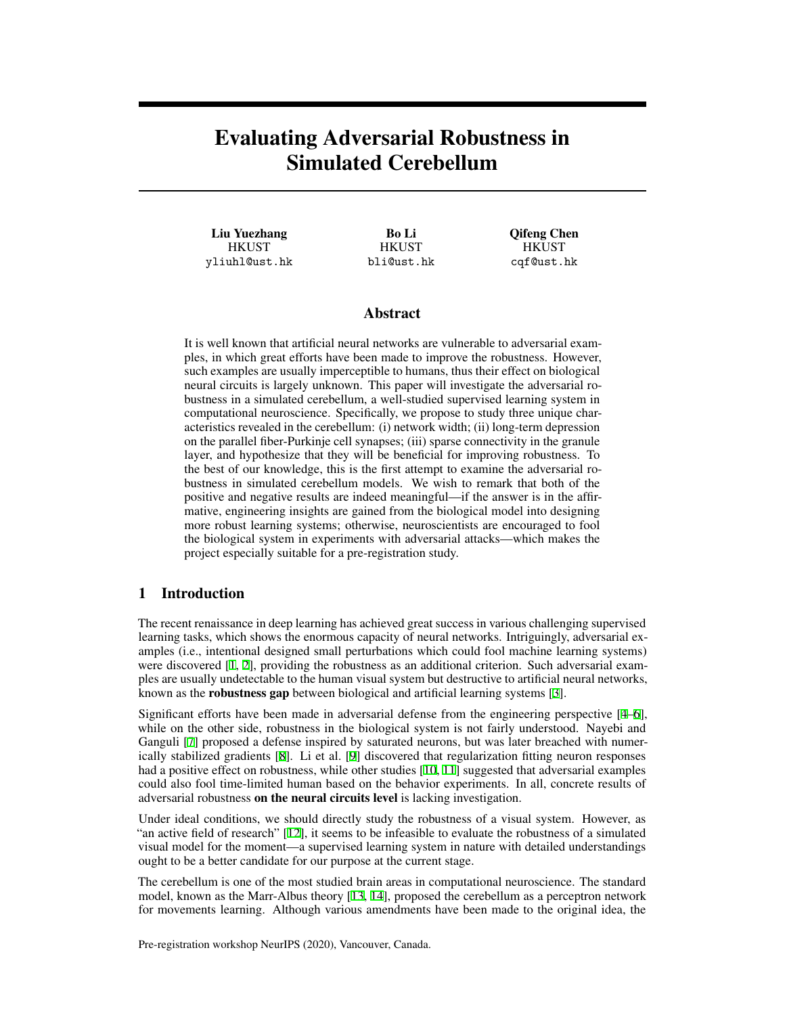# Evaluating Adversarial Robustness in Simulated Cerebellum

Liu Yuezhang **HKUST** yliuhl@ust.hk

Bo Li **HKUST** bli@ust.hk Qifeng Chen **HKUST** cqf@ust.hk

# Abstract

It is well known that artificial neural networks are vulnerable to adversarial examples, in which great efforts have been made to improve the robustness. However, such examples are usually imperceptible to humans, thus their effect on biological neural circuits is largely unknown. This paper will investigate the adversarial robustness in a simulated cerebellum, a well-studied supervised learning system in computational neuroscience. Specifically, we propose to study three unique characteristics revealed in the cerebellum: (i) network width; (ii) long-term depression on the parallel fiber-Purkinje cell synapses; (iii) sparse connectivity in the granule layer, and hypothesize that they will be beneficial for improving robustness. To the best of our knowledge, this is the first attempt to examine the adversarial robustness in simulated cerebellum models. We wish to remark that both of the positive and negative results are indeed meaningful—if the answer is in the affirmative, engineering insights are gained from the biological model into designing more robust learning systems; otherwise, neuroscientists are encouraged to fool the biological system in experiments with adversarial attacks—which makes the project especially suitable for a pre-registration study.

# 1 Introduction

The recent renaissance in deep learning has achieved great success in various challenging supervised learning tasks, which shows the enormous capacity of neural networks. Intriguingly, adversarial examples (i.e., intentional designed small perturbations which could fool machine learning systems) were discovered [\[1](#page-5-0), [2](#page-5-1)], providing the robustness as an additional criterion. Such adversarial examples are usually undetectable to the human visual system but destructive to artificial neural networks, known as the **robustness gap** between biological and artificial learning systems [\[3](#page-5-2)].

Significant efforts have been made in adversarial defense from the engineering perspective [\[4](#page-5-3)[–6](#page-5-4)], while on the other side, robustness in the biological system is not fairly understood. Nayebi and Ganguli [\[7](#page-5-5)] proposed a defense inspired by saturated neurons, but was later breached with numerically stabilized gradients [[8\]](#page-6-0). Li et al. [[9\]](#page-6-1) discovered that regularization fitting neuron responses had a positive effect on robustness, while other studies [[10,](#page-6-2) [11\]](#page-6-3) suggested that adversarial examples could also fool time-limited human based on the behavior experiments. In all, concrete results of adversarial robustness on the neural circuits level is lacking investigation.

Under ideal conditions, we should directly study the robustness of a visual system. However, as "an active field of research" [\[12](#page-6-4)], it seems to be infeasible to evaluate the robustness of a simulated visual model for the moment—a supervised learning system in nature with detailed understandings ought to be a better candidate for our purpose at the current stage.

The cerebellum is one of the most studied brain areas in computational neuroscience. The standard model, known as the Marr-Albus theory [\[13,](#page-6-5) [14](#page-6-6)], proposed the cerebellum as a perceptron network for movements learning. Although various amendments have been made to the original idea, the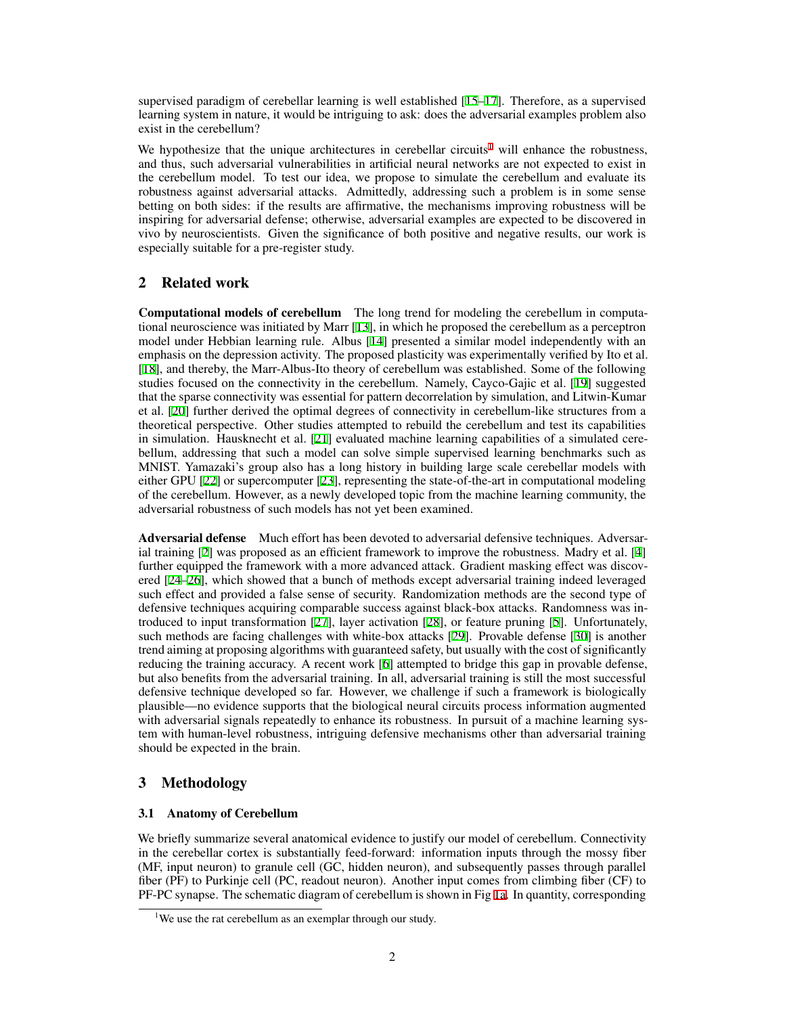supervised paradigm of cerebellar learning is well established [\[15](#page-6-7)[–17\]](#page-6-8). Therefore, as a supervised learning system in nature, it would be intriguing to ask: does the adversarial examples problem also exist in the cerebellum?

We hypothesize that the unique architectures in cerebellar circuits<sup>[1](#page-1-0)</sup> will enhance the robustness, and thus, such adversarial vulnerabilities in artificial neural networks are not expected to exist in the cerebellum model. To test our idea, we propose to simulate the cerebellum and evaluate its robustness against adversarial attacks. Admittedly, addressing such a problem is in some sense betting on both sides: if the results are affirmative, the mechanisms improving robustness will be inspiring for adversarial defense; otherwise, adversarial examples are expected to be discovered in vivo by neuroscientists. Given the significance of both positive and negative results, our work is especially suitable for a pre-register study.

# 2 Related work

Computational models of cerebellum The long trend for modeling the cerebellum in computational neuroscience was initiated by Marr [[13\]](#page-6-5), in which he proposed the cerebellum as a perceptron model under Hebbian learning rule. Albus [[14\]](#page-6-6) presented a similar model independently with an emphasis on the depression activity. The proposed plasticity was experimentally verified by Ito et al. [\[18](#page-6-9)], and thereby, the Marr-Albus-Ito theory of cerebellum was established. Some of the following studies focused on the connectivity in the cerebellum. Namely, Cayco-Gajic et al. [\[19](#page-6-10)] suggested that the sparse connectivity was essential for pattern decorrelation by simulation, and Litwin-Kumar et al. [\[20](#page-6-11)] further derived the optimal degrees of connectivity in cerebellum-like structures from a theoretical perspective. Other studies attempted to rebuild the cerebellum and test its capabilities in simulation. Hausknecht et al. [[21\]](#page-6-12) evaluated machine learning capabilities of a simulated cerebellum, addressing that such a model can solve simple supervised learning benchmarks such as MNIST. Yamazaki's group also has a long history in building large scale cerebellar models with either GPU [[22\]](#page-6-13) or supercomputer [\[23](#page-6-14)], representing the state-of-the-art in computational modeling of the cerebellum. However, as a newly developed topic from the machine learning community, the adversarial robustness of such models has not yet been examined.

Adversarial defense Much effort has been devoted to adversarial defensive techniques. Adversar-ial training [[2\]](#page-5-1) was proposed as an efficient framework to improve the robustness. Madry et al. [[4\]](#page-5-3) further equipped the framework with a more advanced attack. Gradient masking effect was discovered [\[24](#page-6-15)[–26](#page-7-0)], which showed that a bunch of methods except adversarial training indeed leveraged such effect and provided a false sense of security. Randomization methods are the second type of defensive techniques acquiring comparable success against black-box attacks. Randomness was introduced to input transformation [[27\]](#page-7-1), layer activation [[28\]](#page-7-2), or feature pruning [[5\]](#page-5-6). Unfortunately, such methods are facing challenges with white-box attacks [[29\]](#page-7-3). Provable defense [\[30](#page-7-4)] is another trend aiming at proposing algorithms with guaranteed safety, but usually with the cost of significantly reducing the training accuracy. A recent work [[6\]](#page-5-4) attempted to bridge this gap in provable defense, but also benefits from the adversarial training. In all, adversarial training is still the most successful defensive technique developed so far. However, we challenge if such a framework is biologically plausible—no evidence supports that the biological neural circuits process information augmented with adversarial signals repeatedly to enhance its robustness. In pursuit of a machine learning system with human-level robustness, intriguing defensive mechanisms other than adversarial training should be expected in the brain.

# 3 Methodology

## 3.1 Anatomy of Cerebellum

We briefly summarize several anatomical evidence to justify our model of cerebellum. Connectivity in the cerebellar cortex is substantially feed-forward: information inputs through the mossy fiber (MF, input neuron) to granule cell (GC, hidden neuron), and subsequently passes through parallel fiber (PF) to Purkinje cell (PC, readout neuron). Another input comes from climbing fiber (CF) to PF-PC synapse. The schematic diagram of cerebellum is shown in Fig [1a.](#page-2-0) In quantity, corresponding

<span id="page-1-0"></span><sup>&</sup>lt;sup>1</sup>We use the rat cerebellum as an exemplar through our study.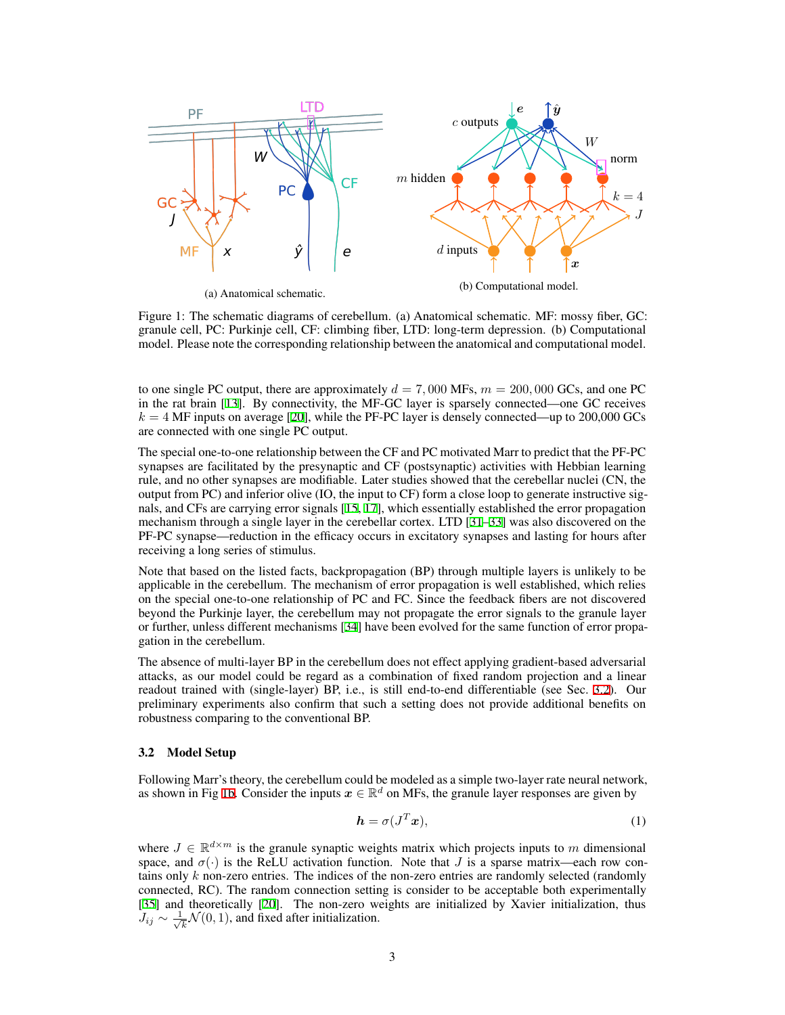<span id="page-2-0"></span>

(a) Anatomical schematic.

Figure 1: The schematic diagrams of cerebellum. (a) Anatomical schematic. MF: mossy fiber, GC: granule cell, PC: Purkinje cell, CF: climbing fiber, LTD: long-term depression. (b) Computational model. Please note the corresponding relationship between the anatomical and computational model.

to one single PC output, there are approximately  $d = 7,000$  MFs,  $m = 200,000$  GCs, and one PC in the rat brain [[13\]](#page-6-5). By connectivity, the MF-GC layer is sparsely connected—one GC receives  $k = 4$  MF inputs on average [\[20](#page-6-11)], while the PF-PC layer is densely connected—up to 200,000 GCs are connected with one single PC output.

The special one-to-one relationship between the CF and PC motivated Marr to predict that the PF-PC synapses are facilitated by the presynaptic and CF (postsynaptic) activities with Hebbian learning rule, and no other synapses are modifiable. Later studies showed that the cerebellar nuclei (CN, the output from PC) and inferior olive (IO, the input to CF) form a close loop to generate instructive signals, and CFs are carrying error signals [\[15](#page-6-7), [17](#page-6-8)], which essentially established the error propagation mechanism through a single layer in the cerebellar cortex. LTD [[31–](#page-7-5)[33\]](#page-7-6) was also discovered on the PF-PC synapse—reduction in the efficacy occurs in excitatory synapses and lasting for hours after receiving a long series of stimulus.

Note that based on the listed facts, backpropagation (BP) through multiple layers is unlikely to be applicable in the cerebellum. The mechanism of error propagation is well established, which relies on the special one-to-one relationship of PC and FC. Since the feedback fibers are not discovered beyond the Purkinje layer, the cerebellum may not propagate the error signals to the granule layer or further, unless different mechanisms [\[34](#page-7-7)] have been evolved for the same function of error propagation in the cerebellum.

The absence of multi-layer BP in the cerebellum does not effect applying gradient-based adversarial attacks, as our model could be regard as a combination of fixed random projection and a linear readout trained with (single-layer) BP, i.e., is still end-to-end differentiable (see Sec. [3.2\)](#page-2-1). Our preliminary experiments also confirm that such a setting does not provide additional benefits on robustness comparing to the conventional BP.

#### <span id="page-2-1"></span>3.2 Model Setup

Following Marr's theory, the cerebellum could be modeled as a simple two-layer rate neural network, as shown in Fig [1b](#page-2-0). Consider the inputs  $x \in \mathbb{R}^d$  on MFs, the granule layer responses are given by

$$
h = \sigma(J^T x), \tag{1}
$$

where  $J \in \mathbb{R}^{d \times m}$  is the granule synaptic weights matrix which projects inputs to *m* dimensional space, and  $\sigma(\cdot)$  is the ReLU activation function. Note that *J* is a sparse matrix—each row contains only *k* non-zero entries. The indices of the non-zero entries are randomly selected (randomly connected, RC). The random connection setting is consider to be acceptable both experimentally [\[35](#page-7-8)] and theoretically [[20\]](#page-6-11). The non-zero weights are initialized by Xavier initialization, thus  $J_{ij}$  ∼  $\frac{1}{\sqrt{j}}$  $\overline{k}$   $\mathcal{N}(0,1)$ , and fixed after initialization.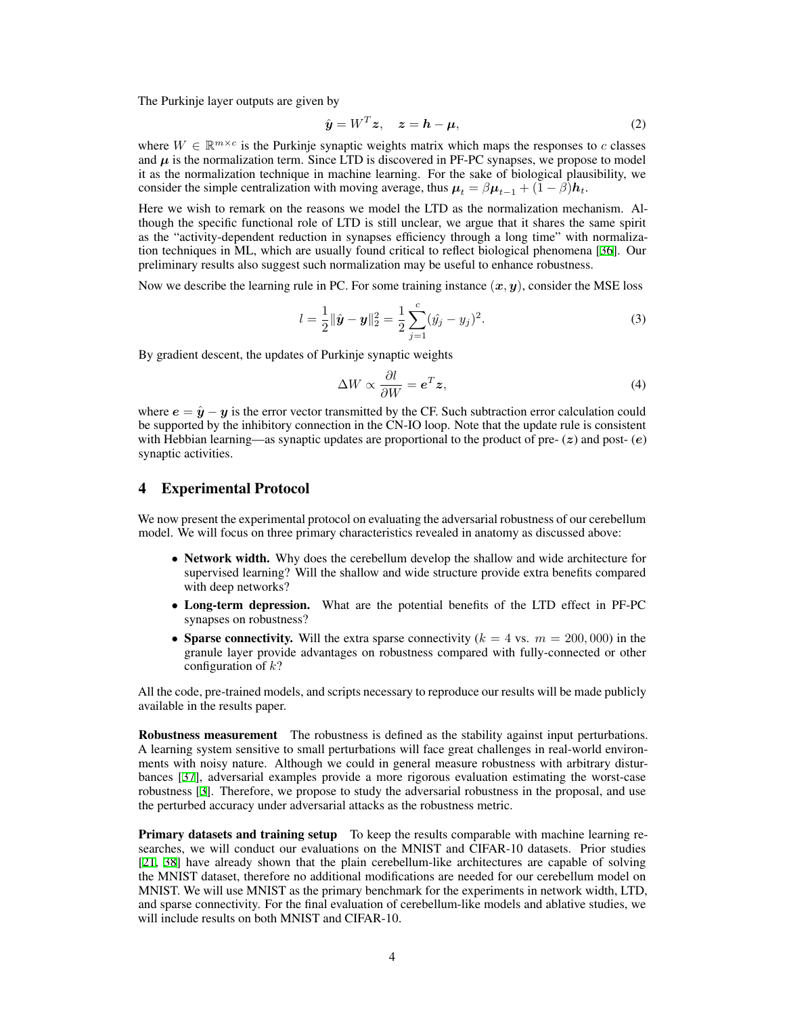The Purkinje layer outputs are given by

$$
\hat{\mathbf{y}} = W^T \mathbf{z}, \quad \mathbf{z} = \mathbf{h} - \boldsymbol{\mu}, \tag{2}
$$

where  $W \in \mathbb{R}^{m \times c}$  is the Purkinje synaptic weights matrix which maps the responses to *c* classes and  $\mu$  is the normalization term. Since LTD is discovered in PF-PC synapses, we propose to model it as the normalization technique in machine learning. For the sake of biological plausibility, we consider the simple centralization with moving average, thus  $\mu_t = \beta \mu_{t-1} + (1 - \beta) h_t$ .

Here we wish to remark on the reasons we model the LTD as the normalization mechanism. Although the specific functional role of LTD is still unclear, we argue that it shares the same spirit as the "activity-dependent reduction in synapses efficiency through a long time" with normalization techniques in ML, which are usually found critical to reflect biological phenomena [\[36](#page-7-9)]. Our preliminary results also suggest such normalization may be useful to enhance robustness.

Now we describe the learning rule in PC. For some training instance  $(x, y)$ , consider the MSE loss

$$
l = \frac{1}{2} ||\hat{\mathbf{y}} - \mathbf{y}||_2^2 = \frac{1}{2} \sum_{j=1}^{c} (\hat{y}_j - y_j)^2.
$$
 (3)

By gradient descent, the updates of Purkinje synaptic weights

$$
\Delta W \propto \frac{\partial l}{\partial W} = \mathbf{e}^T \mathbf{z},\tag{4}
$$

where  $e = \hat{y} - y$  is the error vector transmitted by the CF. Such subtraction error calculation could be supported by the inhibitory connection in the CN-IO loop. Note that the update rule is consistent with Hebbian learning—as synaptic updates are proportional to the product of pre- (*z*) and post- (*e*) synaptic activities.

### 4 Experimental Protocol

We now present the experimental protocol on evaluating the adversarial robustness of our cerebellum model. We will focus on three primary characteristics revealed in anatomy as discussed above:

- Network width. Why does the cerebellum develop the shallow and wide architecture for supervised learning? Will the shallow and wide structure provide extra benefits compared with deep networks?
- *•* Long-term depression. What are the potential benefits of the LTD effect in PF-PC synapses on robustness?
- Sparse connectivity. Will the extra sparse connectivity  $(k = 4 \text{ vs. } m = 200,000)$  in the granule layer provide advantages on robustness compared with fully-connected or other configuration of *k*?

All the code, pre-trained models, and scripts necessary to reproduce our results will be made publicly available in the results paper.

Robustness measurement The robustness is defined as the stability against input perturbations. A learning system sensitive to small perturbations will face great challenges in real-world environments with noisy nature. Although we could in general measure robustness with arbitrary disturbances [\[37](#page-7-10)], adversarial examples provide a more rigorous evaluation estimating the worst-case robustness [\[3](#page-5-2)]. Therefore, we propose to study the adversarial robustness in the proposal, and use the perturbed accuracy under adversarial attacks as the robustness metric.

**Primary datasets and training setup** To keep the results comparable with machine learning researches, we will conduct our evaluations on the MNIST and CIFAR-10 datasets. Prior studies [\[21](#page-6-12), [38\]](#page-7-11) have already shown that the plain cerebellum-like architectures are capable of solving the MNIST dataset, therefore no additional modifications are needed for our cerebellum model on MNIST. We will use MNIST as the primary benchmark for the experiments in network width, LTD, and sparse connectivity. For the final evaluation of cerebellum-like models and ablative studies, we will include results on both MNIST and CIFAR-10.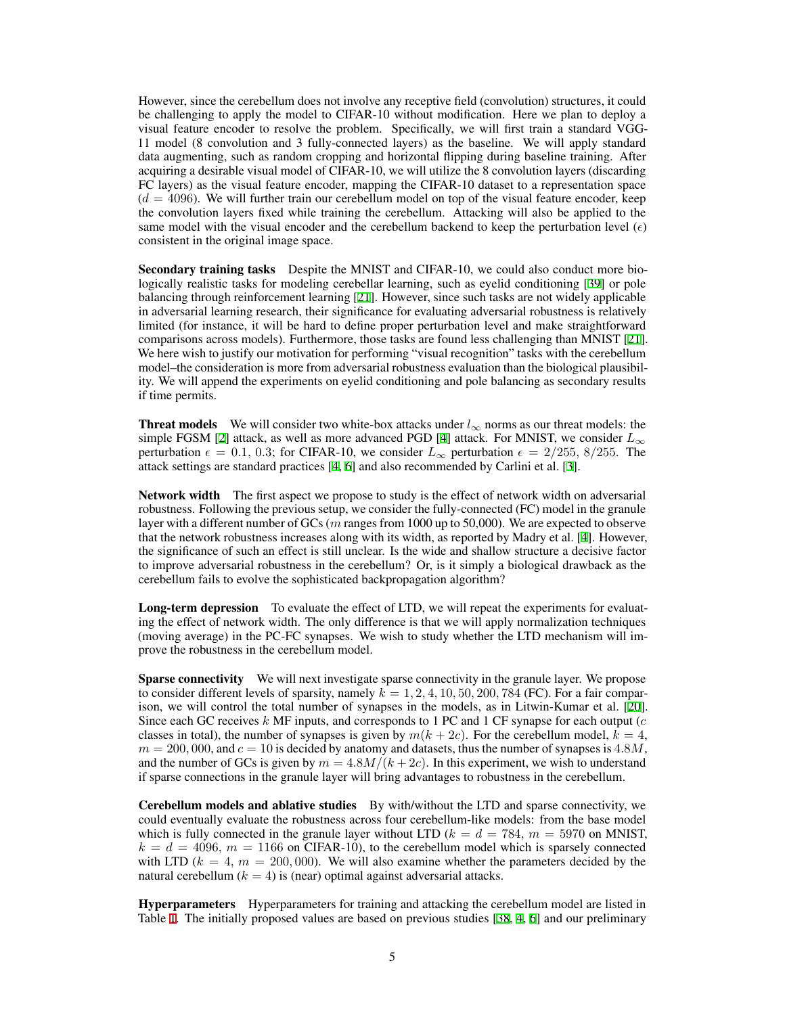However, since the cerebellum does not involve any receptive field (convolution) structures, it could be challenging to apply the model to CIFAR-10 without modification. Here we plan to deploy a visual feature encoder to resolve the problem. Specifically, we will first train a standard VGG-11 model (8 convolution and 3 fully-connected layers) as the baseline. We will apply standard data augmenting, such as random cropping and horizontal flipping during baseline training. After acquiring a desirable visual model of CIFAR-10, we will utilize the 8 convolution layers (discarding FC layers) as the visual feature encoder, mapping the CIFAR-10 dataset to a representation space  $(d = 4096)$ . We will further train our cerebellum model on top of the visual feature encoder, keep the convolution layers fixed while training the cerebellum. Attacking will also be applied to the same model with the visual encoder and the cerebellum backend to keep the perturbation level  $(\epsilon)$ consistent in the original image space.

Secondary training tasks Despite the MNIST and CIFAR-10, we could also conduct more biologically realistic tasks for modeling cerebellar learning, such as eyelid conditioning [[39\]](#page-7-12) or pole balancing through reinforcement learning [\[21\]](#page-6-12). However, since such tasks are not widely applicable in adversarial learning research, their significance for evaluating adversarial robustness is relatively limited (for instance, it will be hard to define proper perturbation level and make straightforward comparisons across models). Furthermore, those tasks are found less challenging than MNIST [[21\]](#page-6-12). We here wish to justify our motivation for performing "visual recognition" tasks with the cerebellum model–the consideration is more from adversarial robustness evaluation than the biological plausibility. We will append the experiments on eyelid conditioning and pole balancing as secondary results if time permits.

**Threat models** We will consider two white-box attacks under  $l_{\infty}$  norms as our threat models: the simple FGSM [[2\]](#page-5-1) attack, as well as more advanced PGD [[4\]](#page-5-3) attack. For MNIST, we consider *L<sup>∞</sup>* perturbation  $\epsilon = 0.1, 0.3$ ; for CIFAR-10, we consider  $L_{\infty}$  perturbation  $\epsilon = 2/255, 8/255$ . The attack settings are standard practices [\[4](#page-5-3), [6](#page-5-4)] and also recommended by Carlini et al. [\[3](#page-5-2)].

Network width The first aspect we propose to study is the effect of network width on adversarial robustness. Following the previous setup, we consider the fully-connected (FC) model in the granule layer with a different number of GCs (*m* ranges from 1000 up to 50,000). We are expected to observe that the network robustness increases along with its width, as reported by Madry et al. [\[4](#page-5-3)]. However, the significance of such an effect is still unclear. Is the wide and shallow structure a decisive factor to improve adversarial robustness in the cerebellum? Or, is it simply a biological drawback as the cerebellum fails to evolve the sophisticated backpropagation algorithm?

Long-term depression To evaluate the effect of LTD, we will repeat the experiments for evaluating the effect of network width. The only difference is that we will apply normalization techniques (moving average) in the PC-FC synapses. We wish to study whether the LTD mechanism will improve the robustness in the cerebellum model.

Sparse connectivity We will next investigate sparse connectivity in the granule layer. We propose to consider different levels of sparsity, namely  $k = 1, 2, 4, 10, 50, 200, 784$  (FC). For a fair comparison, we will control the total number of synapses in the models, as in Litwin-Kumar et al. [[20\]](#page-6-11). Since each GC receives *k* MF inputs, and corresponds to 1 PC and 1 CF synapse for each output (*c* classes in total), the number of synapses is given by  $m(k + 2c)$ . For the cerebellum model,  $k = 4$ ,  $m = 200,000$ , and  $c = 10$  is decided by anatomy and datasets, thus the number of synapses is  $4.8M$ , and the number of GCs is given by  $m = 4.8M/(k + 2c)$ . In this experiment, we wish to understand if sparse connections in the granule layer will bring advantages to robustness in the cerebellum.

Cerebellum models and ablative studies By with/without the LTD and sparse connectivity, we could eventually evaluate the robustness across four cerebellum-like models: from the base model which is fully connected in the granule layer without LTD ( $k = d = 784$ ,  $m = 5970$  on MNIST,  $k = d = 4096$ ,  $m = 1166$  on CIFAR-10), to the cerebellum model which is sparsely connected with LTD  $(k = 4, m = 200,000)$ . We will also examine whether the parameters decided by the natural cerebellum  $(k = 4)$  is (near) optimal against adversarial attacks.

Hyperparameters Hyperparameters for training and attacking the cerebellum model are listed in Table [1](#page-5-7). The initially proposed values are based on previous studies [[38,](#page-7-11) [4](#page-5-3), [6](#page-5-4)] and our preliminary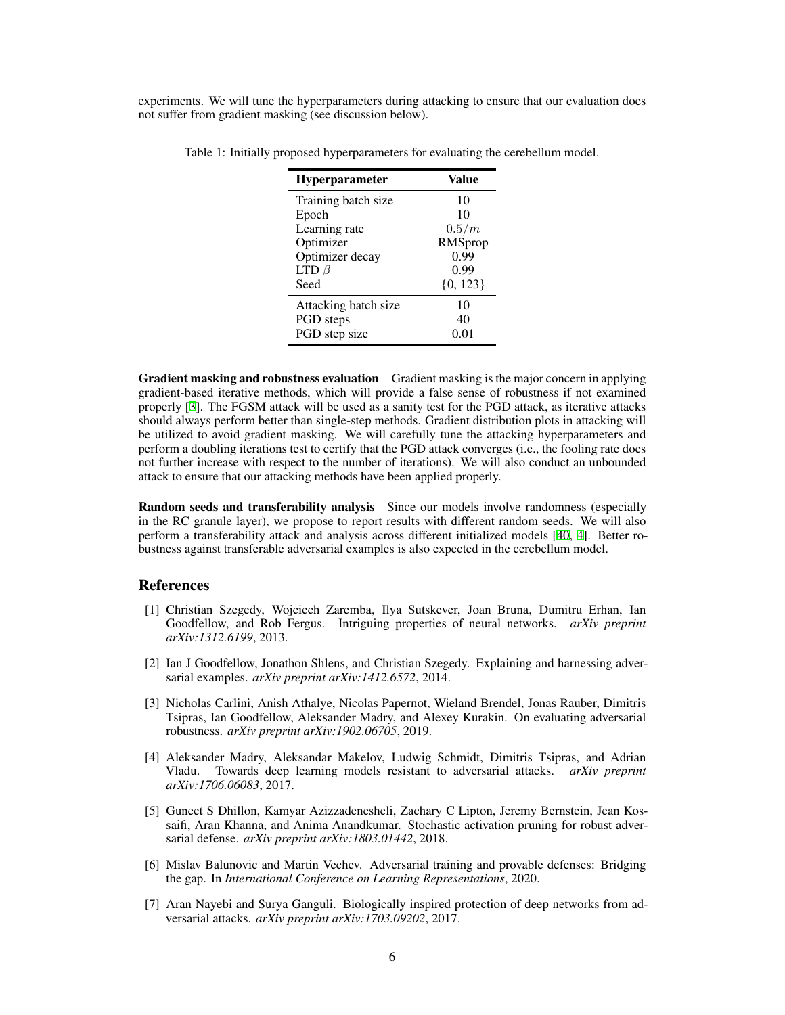<span id="page-5-7"></span>experiments. We will tune the hyperparameters during attacking to ensure that our evaluation does not suffer from gradient masking (see discussion below).

| <b>Hyperparameter</b> | Value        |
|-----------------------|--------------|
| Training batch size   | 10           |
| Epoch                 | 10           |
| Learning rate         | 0.5/m        |
| Optimizer             | RMSprop      |
| Optimizer decay       | 0.99         |
| LTD $\beta$           | 0.99         |
| Seed                  | $\{0, 123\}$ |
| Attacking batch size  | 10           |
| PGD steps             | 40           |
| PGD step size         | 0.01         |

Table 1: Initially proposed hyperparameters for evaluating the cerebellum model.

Gradient masking and robustness evaluation Gradient masking is the major concern in applying gradient-based iterative methods, which will provide a false sense of robustness if not examined properly [[3\]](#page-5-2). The FGSM attack will be used as a sanity test for the PGD attack, as iterative attacks should always perform better than single-step methods. Gradient distribution plots in attacking will be utilized to avoid gradient masking. We will carefully tune the attacking hyperparameters and perform a doubling iterations test to certify that the PGD attack converges (i.e., the fooling rate does not further increase with respect to the number of iterations). We will also conduct an unbounded attack to ensure that our attacking methods have been applied properly.

Random seeds and transferability analysis Since our models involve randomness (especially in the RC granule layer), we propose to report results with different random seeds. We will also perform a transferability attack and analysis across different initialized models [\[40](#page-7-13), [4](#page-5-3)]. Better robustness against transferable adversarial examples is also expected in the cerebellum model.

#### **References**

- <span id="page-5-0"></span>[1] Christian Szegedy, Wojciech Zaremba, Ilya Sutskever, Joan Bruna, Dumitru Erhan, Ian Goodfellow, and Rob Fergus. Intriguing properties of neural networks. *arXiv preprint arXiv:1312.6199*, 2013.
- <span id="page-5-1"></span>[2] Ian J Goodfellow, Jonathon Shlens, and Christian Szegedy. Explaining and harnessing adversarial examples. *arXiv preprint arXiv:1412.6572*, 2014.
- <span id="page-5-2"></span>[3] Nicholas Carlini, Anish Athalye, Nicolas Papernot, Wieland Brendel, Jonas Rauber, Dimitris Tsipras, Ian Goodfellow, Aleksander Madry, and Alexey Kurakin. On evaluating adversarial robustness. *arXiv preprint arXiv:1902.06705*, 2019.
- <span id="page-5-3"></span>[4] Aleksander Madry, Aleksandar Makelov, Ludwig Schmidt, Dimitris Tsipras, and Adrian Vladu. Towards deep learning models resistant to adversarial attacks. *arXiv preprint arXiv:1706.06083*, 2017.
- <span id="page-5-6"></span>[5] Guneet S Dhillon, Kamyar Azizzadenesheli, Zachary C Lipton, Jeremy Bernstein, Jean Kossaifi, Aran Khanna, and Anima Anandkumar. Stochastic activation pruning for robust adversarial defense. *arXiv preprint arXiv:1803.01442*, 2018.
- <span id="page-5-4"></span>[6] Mislav Balunovic and Martin Vechev. Adversarial training and provable defenses: Bridging the gap. In *International Conference on Learning Representations*, 2020.
- <span id="page-5-5"></span>[7] Aran Nayebi and Surya Ganguli. Biologically inspired protection of deep networks from adversarial attacks. *arXiv preprint arXiv:1703.09202*, 2017.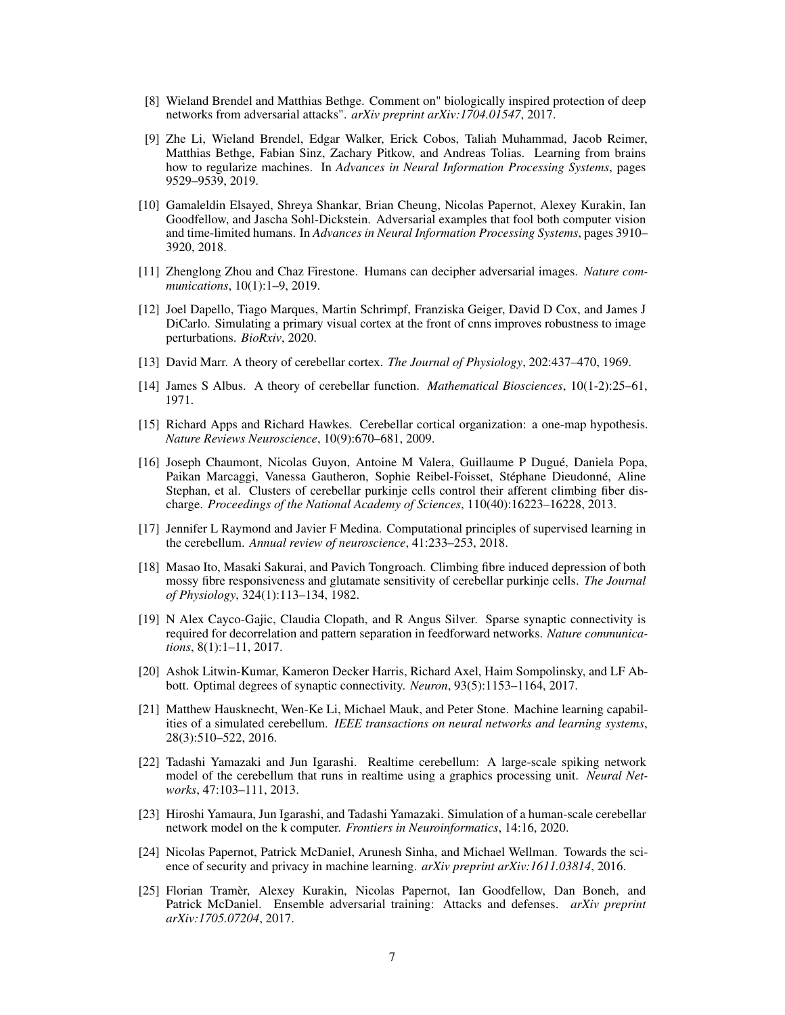- <span id="page-6-0"></span>[8] Wieland Brendel and Matthias Bethge. Comment on" biologically inspired protection of deep networks from adversarial attacks". *arXiv preprint arXiv:1704.01547*, 2017.
- <span id="page-6-1"></span>[9] Zhe Li, Wieland Brendel, Edgar Walker, Erick Cobos, Taliah Muhammad, Jacob Reimer, Matthias Bethge, Fabian Sinz, Zachary Pitkow, and Andreas Tolias. Learning from brains how to regularize machines. In *Advances in Neural Information Processing Systems*, pages 9529–9539, 2019.
- <span id="page-6-2"></span>[10] Gamaleldin Elsayed, Shreya Shankar, Brian Cheung, Nicolas Papernot, Alexey Kurakin, Ian Goodfellow, and Jascha Sohl-Dickstein. Adversarial examples that fool both computer vision and time-limited humans. In *Advances in Neural Information Processing Systems*, pages 3910– 3920, 2018.
- <span id="page-6-3"></span>[11] Zhenglong Zhou and Chaz Firestone. Humans can decipher adversarial images. *Nature communications*, 10(1):1–9, 2019.
- <span id="page-6-4"></span>[12] Joel Dapello, Tiago Marques, Martin Schrimpf, Franziska Geiger, David D Cox, and James J DiCarlo. Simulating a primary visual cortex at the front of cnns improves robustness to image perturbations. *BioRxiv*, 2020.
- <span id="page-6-5"></span>[13] David Marr. A theory of cerebellar cortex. *The Journal of Physiology*, 202:437–470, 1969.
- <span id="page-6-6"></span>[14] James S Albus. A theory of cerebellar function. *Mathematical Biosciences*, 10(1-2):25–61, 1971.
- <span id="page-6-7"></span>[15] Richard Apps and Richard Hawkes. Cerebellar cortical organization: a one-map hypothesis. *Nature Reviews Neuroscience*, 10(9):670–681, 2009.
- [16] Joseph Chaumont, Nicolas Guyon, Antoine M Valera, Guillaume P Dugué, Daniela Popa, Paikan Marcaggi, Vanessa Gautheron, Sophie Reibel-Foisset, Stéphane Dieudonné, Aline Stephan, et al. Clusters of cerebellar purkinje cells control their afferent climbing fiber discharge. *Proceedings of the National Academy of Sciences*, 110(40):16223–16228, 2013.
- <span id="page-6-8"></span>[17] Jennifer L Raymond and Javier F Medina. Computational principles of supervised learning in the cerebellum. *Annual review of neuroscience*, 41:233–253, 2018.
- <span id="page-6-9"></span>[18] Masao Ito, Masaki Sakurai, and Pavich Tongroach. Climbing fibre induced depression of both mossy fibre responsiveness and glutamate sensitivity of cerebellar purkinje cells. *The Journal of Physiology*, 324(1):113–134, 1982.
- <span id="page-6-10"></span>[19] N Alex Cayco-Gajic, Claudia Clopath, and R Angus Silver. Sparse synaptic connectivity is required for decorrelation and pattern separation in feedforward networks. *Nature communications*, 8(1):1–11, 2017.
- <span id="page-6-11"></span>[20] Ashok Litwin-Kumar, Kameron Decker Harris, Richard Axel, Haim Sompolinsky, and LF Abbott. Optimal degrees of synaptic connectivity. *Neuron*, 93(5):1153–1164, 2017.
- <span id="page-6-12"></span>[21] Matthew Hausknecht, Wen-Ke Li, Michael Mauk, and Peter Stone. Machine learning capabilities of a simulated cerebellum. *IEEE transactions on neural networks and learning systems*, 28(3):510–522, 2016.
- <span id="page-6-13"></span>[22] Tadashi Yamazaki and Jun Igarashi. Realtime cerebellum: A large-scale spiking network model of the cerebellum that runs in realtime using a graphics processing unit. *Neural Networks*, 47:103–111, 2013.
- <span id="page-6-14"></span>[23] Hiroshi Yamaura, Jun Igarashi, and Tadashi Yamazaki. Simulation of a human-scale cerebellar network model on the k computer. *Frontiers in Neuroinformatics*, 14:16, 2020.
- <span id="page-6-15"></span>[24] Nicolas Papernot, Patrick McDaniel, Arunesh Sinha, and Michael Wellman. Towards the science of security and privacy in machine learning. *arXiv preprint arXiv:1611.03814*, 2016.
- [25] Florian Tramèr, Alexey Kurakin, Nicolas Papernot, Ian Goodfellow, Dan Boneh, and Patrick McDaniel. Ensemble adversarial training: Attacks and defenses. *arXiv preprint arXiv:1705.07204*, 2017.